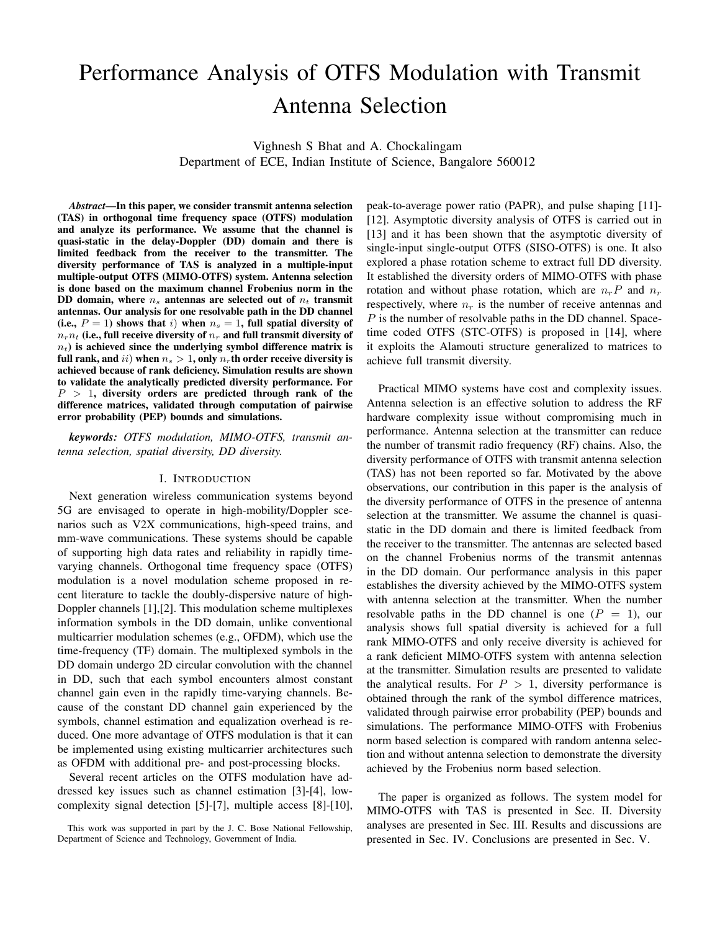# Performance Analysis of OTFS Modulation with Transmit Antenna Selection

Vighnesh S Bhat and A. Chockalingam Department of ECE, Indian Institute of Science, Bangalore 560012

*Abstract*—In this paper, we consider transmit antenna selection (TAS) in orthogonal time frequency space (OTFS) modulation and analyze its performance. We assume that the channel is quasi-static in the delay-Doppler (DD) domain and there is limited feedback from the receiver to the transmitter. The diversity performance of TAS is analyzed in a multiple-input multiple-output OTFS (MIMO-OTFS) system. Antenna selection is done based on the maximum channel Frobenius norm in the DD domain, where  $n_s$  antennas are selected out of  $n_t$  transmit antennas. Our analysis for one resolvable path in the DD channel (i.e.,  $P = 1$ ) shows that i) when  $n_s = 1$ , full spatial diversity of  $n_r$ <sub>r</sub> $n_t$  (i.e., full receive diversity of  $n_r$  and full transmit diversity of  $n<sub>t</sub>$ ) is achieved since the underlying symbol difference matrix is full rank, and ii) when  $n_s > 1$ , only  $n_r$ th order receive diversity is achieved because of rank deficiency. Simulation results are shown to validate the analytically predicted diversity performance. For  $P > 1$ , diversity orders are predicted through rank of the difference matrices, validated through computation of pairwise error probability (PEP) bounds and simulations.

*keywords: OTFS modulation, MIMO-OTFS, transmit antenna selection, spatial diversity, DD diversity.*

## I. INTRODUCTION

Next generation wireless communication systems beyond 5G are envisaged to operate in high-mobility/Doppler scenarios such as V2X communications, high-speed trains, and mm-wave communications. These systems should be capable of supporting high data rates and reliability in rapidly timevarying channels. Orthogonal time frequency space (OTFS) modulation is a novel modulation scheme proposed in recent literature to tackle the doubly-dispersive nature of high-Doppler channels [1],[2]. This modulation scheme multiplexes information symbols in the DD domain, unlike conventional multicarrier modulation schemes (e.g., OFDM), which use the time-frequency (TF) domain. The multiplexed symbols in the DD domain undergo 2D circular convolution with the channel in DD, such that each symbol encounters almost constant channel gain even in the rapidly time-varying channels. Because of the constant DD channel gain experienced by the symbols, channel estimation and equalization overhead is reduced. One more advantage of OTFS modulation is that it can be implemented using existing multicarrier architectures such as OFDM with additional pre- and post-processing blocks.

Several recent articles on the OTFS modulation have addressed key issues such as channel estimation [3]-[4], lowcomplexity signal detection [5]-[7], multiple access [8]-[10],

This work was supported in part by the J. C. Bose National Fellowship, Department of Science and Technology, Government of India.

peak-to-average power ratio (PAPR), and pulse shaping [11]- [12]. Asymptotic diversity analysis of OTFS is carried out in [13] and it has been shown that the asymptotic diversity of single-input single-output OTFS (SISO-OTFS) is one. It also explored a phase rotation scheme to extract full DD diversity. It established the diversity orders of MIMO-OTFS with phase rotation and without phase rotation, which are  $n_rP$  and  $n_r$ respectively, where  $n_r$  is the number of receive antennas and P is the number of resolvable paths in the DD channel. Spacetime coded OTFS (STC-OTFS) is proposed in [14], where it exploits the Alamouti structure generalized to matrices to achieve full transmit diversity.

Practical MIMO systems have cost and complexity issues. Antenna selection is an effective solution to address the RF hardware complexity issue without compromising much in performance. Antenna selection at the transmitter can reduce the number of transmit radio frequency (RF) chains. Also, the diversity performance of OTFS with transmit antenna selection (TAS) has not been reported so far. Motivated by the above observations, our contribution in this paper is the analysis of the diversity performance of OTFS in the presence of antenna selection at the transmitter. We assume the channel is quasistatic in the DD domain and there is limited feedback from the receiver to the transmitter. The antennas are selected based on the channel Frobenius norms of the transmit antennas in the DD domain. Our performance analysis in this paper establishes the diversity achieved by the MIMO-OTFS system with antenna selection at the transmitter. When the number resolvable paths in the DD channel is one  $(P = 1)$ , our analysis shows full spatial diversity is achieved for a full rank MIMO-OTFS and only receive diversity is achieved for a rank deficient MIMO-OTFS system with antenna selection at the transmitter. Simulation results are presented to validate the analytical results. For  $P > 1$ , diversity performance is obtained through the rank of the symbol difference matrices, validated through pairwise error probability (PEP) bounds and simulations. The performance MIMO-OTFS with Frobenius norm based selection is compared with random antenna selection and without antenna selection to demonstrate the diversity achieved by the Frobenius norm based selection.

The paper is organized as follows. The system model for MIMO-OTFS with TAS is presented in Sec. II. Diversity analyses are presented in Sec. III. Results and discussions are presented in Sec. IV. Conclusions are presented in Sec. V.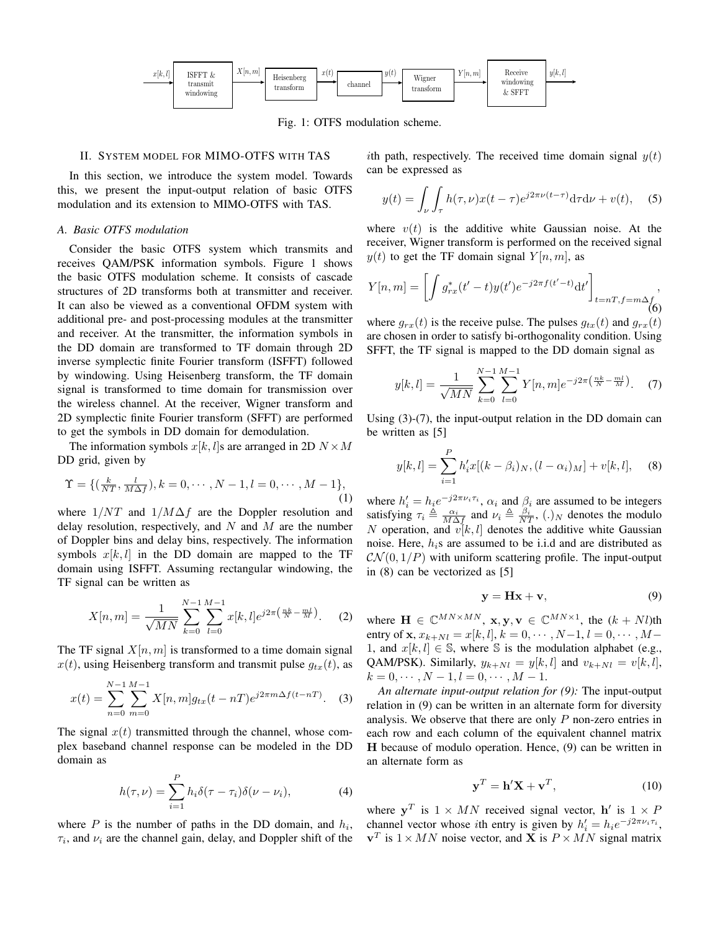

Fig. 1: OTFS modulation scheme.

## II. SYSTEM MODEL FOR MIMO-OTFS WITH TAS

In this section, we introduce the system model. Towards this, we present the input-output relation of basic OTFS modulation and its extension to MIMO-OTFS with TAS.

#### *A. Basic OTFS modulation*

Consider the basic OTFS system which transmits and receives QAM/PSK information symbols. Figure 1 shows the basic OTFS modulation scheme. It consists of cascade structures of 2D transforms both at transmitter and receiver. It can also be viewed as a conventional OFDM system with additional pre- and post-processing modules at the transmitter and receiver. At the transmitter, the information symbols in the DD domain are transformed to TF domain through 2D inverse symplectic finite Fourier transform (ISFFT) followed by windowing. Using Heisenberg transform, the TF domain signal is transformed to time domain for transmission over the wireless channel. At the receiver, Wigner transform and 2D symplectic finite Fourier transform (SFFT) are performed to get the symbols in DD domain for demodulation.

The information symbols  $x[k, l]$ s are arranged in 2D  $N \times M$ DD grid, given by

$$
\Upsilon = \{ (\frac{k}{NT}, \frac{l}{M\Delta f}), k = 0, \cdots, N - 1, l = 0, \cdots, M - 1 \},\tag{1}
$$

where  $1/NT$  and  $1/M\Delta f$  are the Doppler resolution and delay resolution, respectively, and N and M are the number of Doppler bins and delay bins, respectively. The information symbols  $x[k, l]$  in the DD domain are mapped to the TF domain using ISFFT. Assuming rectangular windowing, the TF signal can be written as

$$
X[n,m] = \frac{1}{\sqrt{MN}} \sum_{k=0}^{N-1} \sum_{l=0}^{M-1} x[k,l] e^{j2\pi \left(\frac{nk}{N} - \frac{ml}{M}\right)}.
$$
 (2)

The TF signal  $X[n, m]$  is transformed to a time domain signal  $x(t)$ , using Heisenberg transform and transmit pulse  $g_{tx}(t)$ , as

$$
x(t) = \sum_{n=0}^{N-1} \sum_{m=0}^{M-1} X[n, m] g_{tx}(t - nT) e^{j2\pi m \Delta f (t - nT)}.
$$
 (3)

The signal  $x(t)$  transmitted through the channel, whose complex baseband channel response can be modeled in the DD domain as

$$
h(\tau,\nu) = \sum_{i=1}^{P} h_i \delta(\tau - \tau_i) \delta(\nu - \nu_i), \tag{4}
$$

where  $P$  is the number of paths in the DD domain, and  $h_i$ ,  $\tau_i$ , and  $\nu_i$  are the channel gain, delay, and Doppler shift of the ith path, respectively. The received time domain signal  $y(t)$ can be expressed as

$$
y(t) = \int_{\nu} \int_{\tau} h(\tau, \nu) x(t - \tau) e^{j2\pi \nu (t - \tau)} d\tau d\nu + v(t), \quad (5)
$$

where  $v(t)$  is the additive white Gaussian noise. At the receiver, Wigner transform is performed on the received signal  $y(t)$  to get the TF domain signal  $Y[n,m]$ , as

$$
Y[n,m] = \left[ \int g_{rx}^*(t'-t)y(t')e^{-j2\pi f(t'-t)}dt' \right]_{t=nT, f=m\Delta_f^f}
$$
\n(6)

where  $g_{rx}(t)$  is the receive pulse. The pulses  $g_{tx}(t)$  and  $g_{rx}(t)$ are chosen in order to satisfy bi-orthogonality condition. Using SFFT, the TF signal is mapped to the DD domain signal as

$$
y[k,l] = \frac{1}{\sqrt{MN}} \sum_{k=0}^{N-1} \sum_{l=0}^{M-1} Y[n,m] e^{-j2\pi \left(\frac{nk}{N} - \frac{ml}{M}\right)}.
$$
 (7)

Using (3)-(7), the input-output relation in the DD domain can be written as [5]

$$
y[k, l] = \sum_{i=1}^{P} h'_i x[(k - \beta_i)_N, (l - \alpha_i)_M] + v[k, l], \quad (8)
$$

where  $h'_i = h_i e^{-j2\pi \nu_i \tau_i}$ ,  $\alpha_i$  and  $\beta_i$  are assumed to be integers satisfying  $\tau_i \triangleq \frac{\alpha_i}{M\Delta f}$  and  $\nu_i \triangleq \frac{\beta_i}{NT}$ ,  $(.)_N$  denotes the modulo N operation, and  $v[k, l]$  denotes the additive white Gaussian noise. Here,  $h_i$ s are assumed to be i.i.d and are distributed as  $\mathcal{CN}(0,1/P)$  with uniform scattering profile. The input-output in (8) can be vectorized as [5]

$$
y = Hx + v,\t\t(9)
$$

where  $\mathbf{H} \in \mathbb{C}^{MN \times MN}$ ,  $\mathbf{x}, \mathbf{y}, \mathbf{v} \in \mathbb{C}^{MN \times 1}$ , the  $(k + Nl)$ th entry of **x**,  $x_{k+Nl} = x[k, l], k = 0, \cdots, N-1, l = 0, \cdots, M-1$ 1, and  $x[k, l] \in \mathbb{S}$ , where  $\mathbb S$  is the modulation alphabet (e.g., QAM/PSK). Similarly,  $y_{k+N} = y[k, l]$  and  $v_{k+N} = v[k, l]$ ,  $k = 0, \cdots, N - 1, l = 0, \cdots, M - 1.$ 

*An alternate input-output relation for (9):* The input-output relation in (9) can be written in an alternate form for diversity analysis. We observe that there are only P non-zero entries in each row and each column of the equivalent channel matrix H because of modulo operation. Hence, (9) can be written in an alternate form as

$$
\mathbf{y}^T = \mathbf{h}'\mathbf{X} + \mathbf{v}^T,\tag{10}
$$

where  $y^T$  is  $1 \times MN$  received signal vector, h' is  $1 \times P$ channel vector whose *i*th entry is given by  $h'_i = h_i e^{-j2\pi \nu_i \tau_i}$ ,  $v^T$  is  $1 \times MN$  noise vector, and **X** is  $P \times MN$  signal matrix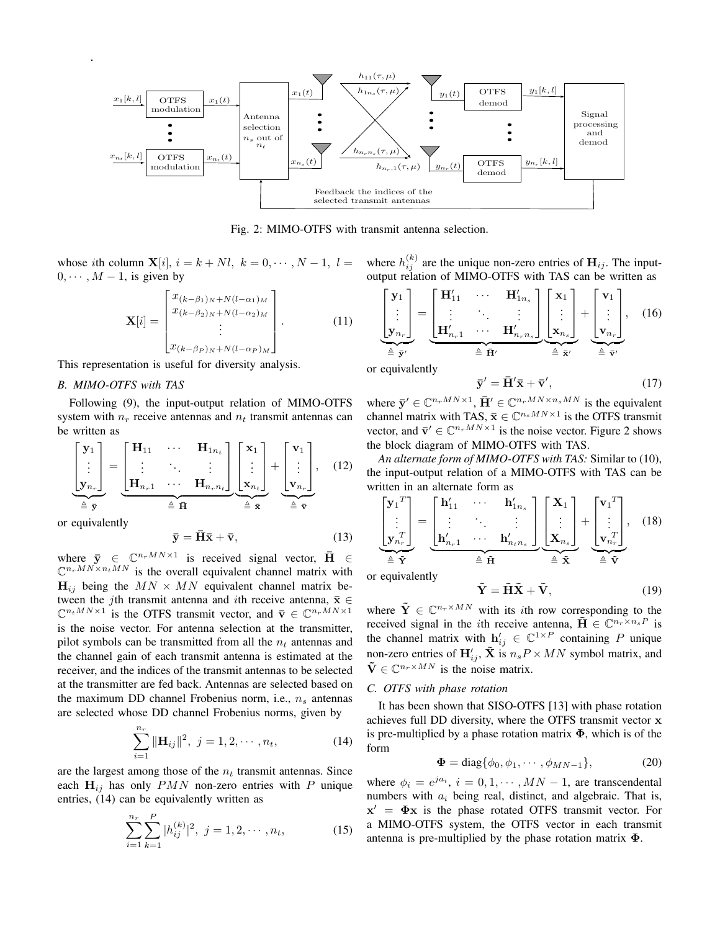

Fig. 2: MIMO-OTFS with transmit antenna selection.

whose ith column  $\mathbf{X}[i], i = k + Nl, k = 0, \cdots, N-1, l = 1$  $0, \cdots, M-1$ , is given by

$$
\mathbf{X}[i] = \begin{bmatrix} x_{(k-\beta_1)_N+N(l-\alpha_1)_M} \\ x_{(k-\beta_2)_N+N(l-\alpha_2)_M} \\ \vdots \\ x_{(k-\beta_P)_N+N(l-\alpha_P)_M} \end{bmatrix} . \tag{11}
$$

This representation is useful for diversity analysis.

#### *B. MIMO-OTFS with TAS*

Following (9), the input-output relation of MIMO-OTFS system with  $n_r$  receive antennas and  $n_t$  transmit antennas can be written as

$$
\begin{bmatrix} \mathbf{y}_1 \\ \vdots \\ \mathbf{y}_{n_r} \end{bmatrix} = \underbrace{\begin{bmatrix} \mathbf{H}_{11} & \cdots & \mathbf{H}_{1n_t} \\ \vdots & \ddots & \vdots \\ \mathbf{H}_{n_r1} & \cdots & \mathbf{H}_{n_rn_t} \end{bmatrix}}_{\triangleq \overrightarrow{\mathbf{H}}} \underbrace{\begin{bmatrix} \mathbf{x}_1 \\ \vdots \\ \mathbf{x}_{n_t} \end{bmatrix}}_{\triangleq \overrightarrow{\mathbf{x}}} + \underbrace{\begin{bmatrix} \mathbf{v}_1 \\ \vdots \\ \mathbf{v}_{n_r} \end{bmatrix}}_{\triangleq \overrightarrow{\mathbf{v}}, \quad (12)
$$
\nor equivalently

$$
\bar{\mathbf{y}} = \bar{\mathbf{H}}\bar{\mathbf{x}} + \bar{\mathbf{v}},\tag{13}
$$

where  $\bar{y} \in \mathbb{C}^{n_rMN \times 1}$  is received signal vector,  $\bar{H} \in$  $\mathbb{C}^{n_rMN \times n_tMN}$  is the overall equivalent channel matrix with  $H_{ij}$  being the  $MN \times MN$  equivalent channel matrix between the jth transmit antenna and ith receive antenna,  $\bar{x} \in$  $\mathbb{C}^{n_tMN\times 1}$  is the OTFS transmit vector, and  $\bar{\mathbf{v}} \in \mathbb{C}^{n_rMN\times 1}$ is the noise vector. For antenna selection at the transmitter, pilot symbols can be transmitted from all the  $n_t$  antennas and the channel gain of each transmit antenna is estimated at the receiver, and the indices of the transmit antennas to be selected at the transmitter are fed back. Antennas are selected based on the maximum DD channel Frobenius norm, i.e.,  $n_s$  antennas are selected whose DD channel Frobenius norms, given by

$$
\sum_{i=1}^{n_r} \|\mathbf{H}_{ij}\|^2, \ j = 1, 2, \cdots, n_t,
$$
 (14)

are the largest among those of the  $n_t$  transmit antennas. Since each  $H_{ij}$  has only  $PMN$  non-zero entries with P unique entries, (14) can be equivalently written as

$$
\sum_{i=1}^{n_r} \sum_{k=1}^{P} |h_{ij}^{(k)}|^2, \ j = 1, 2, \cdots, n_t,
$$
 (15)

where  $h_{ij}^{(k)}$  are the unique non-zero entries of  $\mathbf{H}_{ij}$ . The inputoutput relation of MIMO-OTFS with TAS can be written as

$$
\underbrace{\begin{bmatrix} \mathbf{y}_1 \\ \vdots \\ \mathbf{y}_{n_r} \end{bmatrix}}_{\triangleq \overline{\mathbf{y}}'}
$$
 = 
$$
\underbrace{\begin{bmatrix} \mathbf{H}'_{11} & \cdots & \mathbf{H}'_{1n_s} \\ \vdots & \ddots & \vdots \\ \mathbf{H}'_{n_r1} & \cdots & \mathbf{H}'_{n_rn_s} \end{bmatrix}}_{\triangleq \overline{\mathbf{H}}'} \underbrace{\begin{bmatrix} \mathbf{x}_1 \\ \vdots \\ \mathbf{x}_{n_s} \end{bmatrix}}_{\triangleq \overline{\mathbf{x}}'} + \underbrace{\begin{bmatrix} \mathbf{v}_1 \\ \vdots \\ \mathbf{v}_{n_r} \end{bmatrix}}_{\triangleq \overline{\mathbf{v}}'}, \quad (16)
$$

or equivalently

$$
\bar{\mathbf{y}}' = \bar{\mathbf{H}}' \bar{\mathbf{x}} + \bar{\mathbf{v}}',\tag{17}
$$

where  $\bar{\mathbf{y}}' \in \mathbb{C}^{n_rMN \times 1}$ ,  $\bar{\mathbf{H}}' \in \mathbb{C}^{n_rMN \times n_sMN}$  is the equivalent channel matrix with TAS,  $\bar{\mathbf{x}} \in \mathbb{C}^{n_s MN \times 1}$  is the OTFS transmit vector, and  $\bar{\mathbf{v}}' \in \mathbb{C}^{n_rMN \times 1}$  is the noise vector. Figure 2 shows the block diagram of MIMO-OTFS with TAS.

*An alternate form of MIMO-OTFS with TAS:* Similar to (10), the input-output relation of a MIMO-OTFS with TAS can be written in an alternate form as

$$
\underbrace{\begin{bmatrix} \mathbf{y}_1^T \\ \vdots \\ \mathbf{y}_{n_r}^T \end{bmatrix}}_{\triangleq \tilde{\mathbf{Y}}} = \underbrace{\begin{bmatrix} \mathbf{h}'_{11} & \cdots & \mathbf{h}'_{1n_s} \\ \vdots & \ddots & \vdots \\ \mathbf{h}'_{n_r1} & \cdots & \mathbf{h}'_{ntn_s} \end{bmatrix}}_{\triangleq \tilde{\mathbf{H}}} \underbrace{\begin{bmatrix} \mathbf{X}_1 \\ \vdots \\ \mathbf{X}_{n_s} \end{bmatrix}}_{\triangleq \tilde{\mathbf{X}}} + \underbrace{\begin{bmatrix} \mathbf{v}_1^T \\ \vdots \\ \mathbf{v}_{n_r}^T \end{bmatrix}}_{\triangleq \tilde{\mathbf{V}}}, \quad (18)
$$

or equivalently

$$
\tilde{\mathbf{Y}} = \tilde{\mathbf{H}} \tilde{\mathbf{X}} + \tilde{\mathbf{V}},\tag{19}
$$

where  $\tilde{\mathbf{Y}} \in \mathbb{C}^{n_r \times MN}$  with its *i*th row corresponding to the received signal in the *i*th receive antenna,  $\tilde{H} \in \mathbb{C}^{n_r \times n_s P}$  is the channel matrix with  $h'_{ij} \in \mathbb{C}^{1 \times P}$  containing P unique non-zero entries of  $H'_{ij}$ ,  $\tilde{\mathbf{X}}$  is  $n_s P \times MN$  symbol matrix, and  $\tilde{\mathbf{V}} \in \mathbb{C}^{n_r \times MN}$  is the noise matrix.

#### *C. OTFS with phase rotation*

It has been shown that SISO-OTFS [13] with phase rotation achieves full DD diversity, where the OTFS transmit vector x is pre-multiplied by a phase rotation matrix  $\Phi$ , which is of the form

$$
\mathbf{\Phi} = \text{diag}\{\phi_0, \phi_1, \cdots, \phi_{MN-1}\},\tag{20}
$$

where  $\phi_i = e^{ja_i}, i = 0, 1, \cdots, MN - 1$ , are transcendental numbers with  $a_i$  being real, distinct, and algebraic. That is,  $x' = \Phi x$  is the phase rotated OTFS transmit vector. For a MIMO-OTFS system, the OTFS vector in each transmit antenna is pre-multiplied by the phase rotation matrix  $\Phi$ .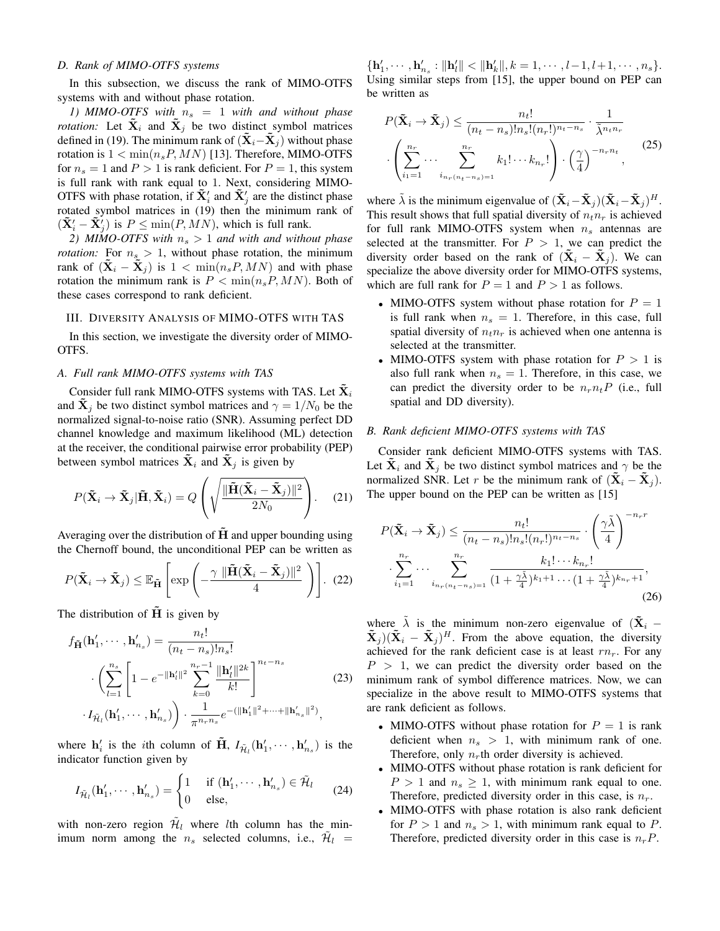## *D. Rank of MIMO-OTFS systems*

In this subsection, we discuss the rank of MIMO-OTFS systems with and without phase rotation.

*1)* MIMO-OTFS with  $n_s = 1$  with and without phase *rotation:* Let  $\mathbf{X}_i$  and  $\mathbf{X}_j$  be two distinct symbol matrices defined in (19). The minimum rank of  $(X_i - X_j)$  without phase rotation is  $1 < \min(n_s P, MN)$  [13]. Therefore, MIMO-OTFS for  $n_s = 1$  and  $P > 1$  is rank deficient. For  $P = 1$ , this system is full rank with rank equal to 1. Next, considering MIMO-OTFS with phase rotation, if  $\tilde{\mathbf{X}}'_i$  and  $\tilde{\mathbf{X}}'_j$  are the distinct phase rotated symbol matrices in (19) then the minimum rank of  $(\tilde{\mathbf{X}}'_i - \tilde{\mathbf{X}}'_j)$  is  $P \le \min(P, MN)$ , which is full rank.

*2) MIMO-OTFS with*  $n_s > 1$  *and with and without phase rotation:* For  $n_s > 1$ , without phase rotation, the minimum rank of  $(X_i - X_j)$  is  $1 < \min(n_s P, MN)$  and with phase rotation the minimum rank is  $P < \min(n_s P, MN)$ . Both of these cases correspond to rank deficient.

## III. DIVERSITY ANALYSIS OF MIMO-OTFS WITH TAS

In this section, we investigate the diversity order of MIMO-OTFS.

### *A. Full rank MIMO-OTFS systems with TAS*

Consider full rank MIMO-OTFS systems with TAS. Let  $\mathbf{X}_i$ and  $\mathbf{X}_i$  be two distinct symbol matrices and  $\gamma = 1/N_0$  be the normalized signal-to-noise ratio (SNR). Assuming perfect DD channel knowledge and maximum likelihood (ML) detection at the receiver, the conditional pairwise error probability (PEP) between symbol matrices  $\mathbf{\bar{X}}_i$  and  $\mathbf{\bar{X}}_j$  is given by

$$
P(\tilde{\mathbf{X}}_i \to \tilde{\mathbf{X}}_j | \tilde{\mathbf{H}}, \tilde{\mathbf{X}}_i) = Q\left(\sqrt{\frac{\|\tilde{\mathbf{H}}(\tilde{\mathbf{X}}_i - \tilde{\mathbf{X}}_j)\|^2}{2N_0}}\right).
$$
 (21)

Averaging over the distribution of  $H$  and upper bounding using the Chernoff bound, the unconditional PEP can be written as

$$
P(\tilde{\mathbf{X}}_i \to \tilde{\mathbf{X}}_j) \leq \mathbb{E}_{\tilde{\mathbf{H}}} \left[ \exp \left( -\frac{\gamma \, \|\tilde{\mathbf{H}} (\tilde{\mathbf{X}}_i - \tilde{\mathbf{X}}_j)\|^2}{4} \right) \right]. \tag{22}
$$

The distribution of  $\tilde{H}$  is given by

$$
f_{\tilde{\mathbf{H}}}(\mathbf{h}'_1, \cdots, \mathbf{h}'_{n_s}) = \frac{n_t!}{(n_t - n_s)! n_s!}
$$

$$
\cdot \left( \sum_{l=1}^{n_s} \left[ 1 - e^{-\|\mathbf{h}'_l\|^2} \sum_{k=0}^{n_r - 1} \frac{\|\mathbf{h}'_l\|^{2k}}{k!} \right]^{n_t - n_s} \right]
$$

$$
\cdot I_{\tilde{\mathcal{H}}_l}(\mathbf{h}'_1, \cdots, \mathbf{h}'_{n_s}) \right) \cdot \frac{1}{\pi^{n_r n_s}} e^{-\left(\|\mathbf{h}'_1\|^2 + \cdots + \|\mathbf{h}'_{n_s}\|^2\right)},
$$
(23)

where  $\mathbf{h}'_i$  is the *i*th column of  $\tilde{\mathbf{H}}$ ,  $I_{\tilde{\mathcal{H}}_l}(\mathbf{h}'_1, \cdots, \mathbf{h}'_{n_s})$  is the indicator function given by

$$
I_{\tilde{\mathcal{H}}_l}(\mathbf{h}'_1, \cdots, \mathbf{h}'_{n_s}) = \begin{cases} 1 & \text{if } (\mathbf{h}'_1, \cdots, \mathbf{h}'_{n_s}) \in \tilde{\mathcal{H}}_l \\ 0 & \text{else}, \end{cases}
$$
(24)

with non-zero region  $\tilde{\mathcal{H}}_l$  where *l*th column has the minimum norm among the  $n_s$  selected columns, i.e.,  $\tilde{\mathcal{H}}_l$  =  $\{\mathbf{h}'_1, \cdots, \mathbf{h}'_{n_s} : ||\mathbf{h}'_l|| < ||\mathbf{h}'_k||, k = 1, \cdots, l-1, l+1, \cdots, n_s\}.$ Using similar steps from [15], the upper bound on PEP can be written as

$$
P(\tilde{\mathbf{X}}_i \to \tilde{\mathbf{X}}_j) \leq \frac{n_t!}{(n_t - n_s)! n_s! (n_r!)^{n_t - n_s}} \cdot \frac{1}{\tilde{\lambda}^{n_t n_r}}
$$

$$
\cdot \left( \sum_{i_1=1}^{n_r} \cdots \sum_{i_{n_r} (n_t - n_s) = 1}^{n_r} k_1! \cdots k_{n_r}! \right) \cdot \left( \frac{\gamma}{4} \right)^{-n_r n_t}, \qquad (25)
$$

where  $\tilde{\lambda}$  is the minimum eigenvalue of  $(\tilde{\mathbf{X}}_i - \tilde{\mathbf{X}}_j)(\tilde{\mathbf{X}}_i - \tilde{\mathbf{X}}_j)^H$ . This result shows that full spatial diversity of  $n_t n_r$  is achieved for full rank MIMO-OTFS system when  $n<sub>s</sub>$  antennas are selected at the transmitter. For  $P > 1$ , we can predict the diversity order based on the rank of  $(X_i - X_j)$ . We can specialize the above diversity order for MIMO-OTFS systems, which are full rank for  $P = 1$  and  $P > 1$  as follows.

- MIMO-OTFS system without phase rotation for  $P = 1$ is full rank when  $n_s = 1$ . Therefore, in this case, full spatial diversity of  $n_t n_r$  is achieved when one antenna is selected at the transmitter.
- MIMO-OTFS system with phase rotation for  $P > 1$  is also full rank when  $n_s = 1$ . Therefore, in this case, we can predict the diversity order to be  $n_r n_t P$  (i.e., full spatial and DD diversity).

## *B. Rank deficient MIMO-OTFS systems with TAS*

Consider rank deficient MIMO-OTFS systems with TAS. Let  $X_i$  and  $X_j$  be two distinct symbol matrices and  $\gamma$  be the normalized SNR. Let r be the minimum rank of  $(X_i - X_j)$ . The upper bound on the PEP can be written as [15]

$$
P(\tilde{\mathbf{X}}_i \to \tilde{\mathbf{X}}_j) \le \frac{n_t!}{(n_t - n_s)! n_s! (n_r!)^{n_t - n_s}} \cdot \left(\frac{\gamma \tilde{\lambda}}{4}\right)^{-n_r r}
$$

$$
\cdot \sum_{i_1=1}^{n_r} \cdots \sum_{i_{n_r} (n_t - n_s) = 1}^{n_r} \frac{k_1! \cdots k_{n_r}!}{(1 + \frac{\gamma \tilde{\lambda}}{4})^{k_1 + 1} \cdots (1 + \frac{\gamma \tilde{\lambda}}{4})^{k_{n_r} + 1}},
$$
(26)

where  $\tilde{\lambda}$  is the minimum non-zero eigenvalue of  $(\tilde{\mathbf{X}}_i$  –  $\tilde{\mathbf{X}}_j$ ) $(\tilde{\mathbf{X}}_i - \tilde{\mathbf{X}}_j)^H$ . From the above equation, the diversity achieved for the rank deficient case is at least  $rn_r$ . For any  $P > 1$ , we can predict the diversity order based on the minimum rank of symbol difference matrices. Now, we can specialize in the above result to MIMO-OTFS systems that are rank deficient as follows.

- MIMO-OTFS without phase rotation for  $P = 1$  is rank deficient when  $n_s > 1$ , with minimum rank of one. Therefore, only  $n_r$ th order diversity is achieved.
- MIMO-OTFS without phase rotation is rank deficient for  $P > 1$  and  $n_s \geq 1$ , with minimum rank equal to one. Therefore, predicted diversity order in this case, is  $n_r$ .
- MIMO-OTFS with phase rotation is also rank deficient for  $P > 1$  and  $n_s > 1$ , with minimum rank equal to P. Therefore, predicted diversity order in this case is  $n_rP$ .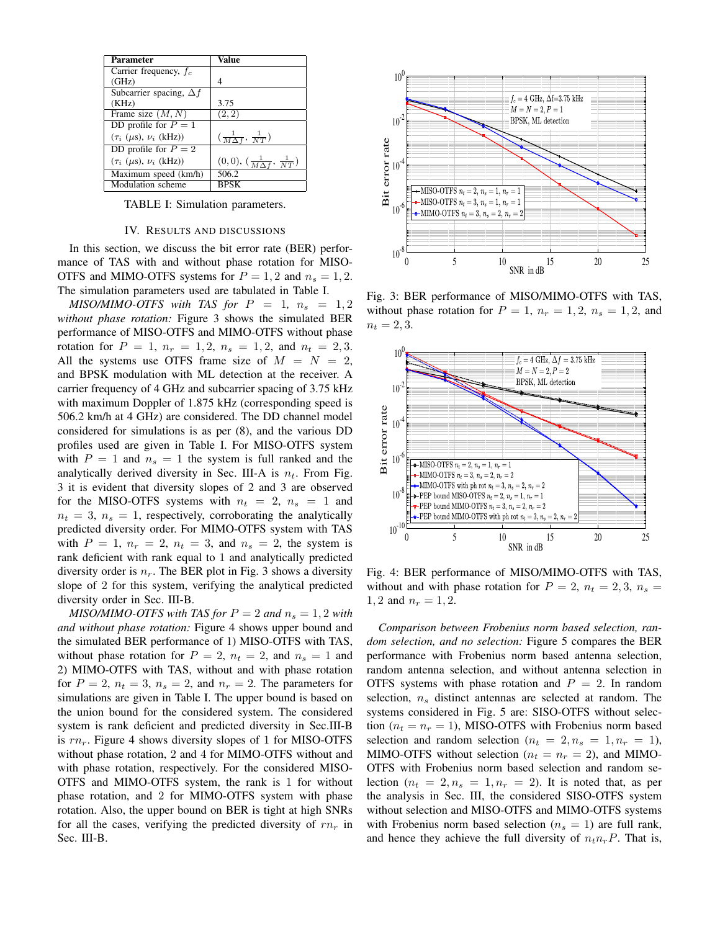| Parameter                             | Value                                           |
|---------------------------------------|-------------------------------------------------|
| Carrier frequency, $f_c$              |                                                 |
| (GHz)                                 | 4                                               |
| Subcarrier spacing, $\Delta f$        |                                                 |
| (KHz)                                 | 3.75                                            |
| Frame size $(M, N)$                   | (2, 2)                                          |
| DD profile for $P = 1$                |                                                 |
| $(\tau_i \; (\mu s), \nu_i \; (kHz))$ | $\left(\frac{1}{M\Delta f},\frac{1}{NT}\right)$ |
| DD profile for $P = 2$                |                                                 |
| $(\tau_i \; (\mu s), \nu_i \; (kHz))$ | $(0,0), (\frac{1}{M\Delta f}, \frac{1}{NT})$    |
| Maximum speed (km/h)                  | $\overline{506.2}$                              |
| Modulation scheme                     | <b>BPSK</b>                                     |

TABLE I: Simulation parameters.

## IV. RESULTS AND DISCUSSIONS

In this section, we discuss the bit error rate (BER) performance of TAS with and without phase rotation for MISO-OTFS and MIMO-OTFS systems for  $P = 1, 2$  and  $n_s = 1, 2$ . The simulation parameters used are tabulated in Table I.

*MISO/MIMO-OTFS with TAS for*  $P = 1$ ,  $n_s = 1, 2$ *without phase rotation:* Figure 3 shows the simulated BER performance of MISO-OTFS and MIMO-OTFS without phase rotation for  $P = 1$ ,  $n_r = 1, 2$ ,  $n_s = 1, 2$ , and  $n_t = 2, 3$ . All the systems use OTFS frame size of  $M = N = 2$ , and BPSK modulation with ML detection at the receiver. A carrier frequency of 4 GHz and subcarrier spacing of 3.75 kHz with maximum Doppler of 1.875 kHz (corresponding speed is 506.2 km/h at 4 GHz) are considered. The DD channel model considered for simulations is as per (8), and the various DD profiles used are given in Table I. For MISO-OTFS system with  $P = 1$  and  $n_s = 1$  the system is full ranked and the analytically derived diversity in Sec. III-A is  $n_t$ . From Fig. 3 it is evident that diversity slopes of 2 and 3 are observed for the MISO-OTFS systems with  $n_t = 2$ ,  $n_s = 1$  and  $n_t = 3$ ,  $n_s = 1$ , respectively, corroborating the analytically predicted diversity order. For MIMO-OTFS system with TAS with  $P = 1$ ,  $n_r = 2$ ,  $n_t = 3$ , and  $n_s = 2$ , the system is rank deficient with rank equal to 1 and analytically predicted diversity order is  $n_r$ . The BER plot in Fig. 3 shows a diversity slope of 2 for this system, verifying the analytical predicted diversity order in Sec. III-B.

*MISO/MIMO-OTFS with TAS for*  $P = 2$  *and*  $n_s = 1, 2$  *with and without phase rotation:* Figure 4 shows upper bound and the simulated BER performance of 1) MISO-OTFS with TAS, without phase rotation for  $P = 2$ ,  $n_t = 2$ , and  $n_s = 1$  and 2) MIMO-OTFS with TAS, without and with phase rotation for  $P = 2$ ,  $n_t = 3$ ,  $n_s = 2$ , and  $n_r = 2$ . The parameters for simulations are given in Table I. The upper bound is based on the union bound for the considered system. The considered system is rank deficient and predicted diversity in Sec.III-B is  $rn_r$ . Figure 4 shows diversity slopes of 1 for MISO-OTFS without phase rotation, 2 and 4 for MIMO-OTFS without and with phase rotation, respectively. For the considered MISO-OTFS and MIMO-OTFS system, the rank is 1 for without phase rotation, and 2 for MIMO-OTFS system with phase rotation. Also, the upper bound on BER is tight at high SNRs for all the cases, verifying the predicted diversity of  $rn_r$  in Sec. III-B.



Fig. 3: BER performance of MISO/MIMO-OTFS with TAS, without phase rotation for  $P = 1$ ,  $n_r = 1, 2$ ,  $n_s = 1, 2$ , and  $n_t = 2, 3.$ 



Fig. 4: BER performance of MISO/MIMO-OTFS with TAS, without and with phase rotation for  $P = 2$ ,  $n_t = 2, 3, n_s =$ 1, 2 and  $n_r = 1, 2$ .

*Comparison between Frobenius norm based selection, random selection, and no selection:* Figure 5 compares the BER performance with Frobenius norm based antenna selection, random antenna selection, and without antenna selection in OTFS systems with phase rotation and  $P = 2$ . In random selection,  $n<sub>s</sub>$  distinct antennas are selected at random. The systems considered in Fig. 5 are: SISO-OTFS without selection ( $n_t = n_r = 1$ ), MISO-OTFS with Frobenius norm based selection and random selection ( $n_t = 2, n_s = 1, n_r = 1$ ), MIMO-OTFS without selection ( $n_t = n_r = 2$ ), and MIMO-OTFS with Frobenius norm based selection and random selection  $(n_t = 2, n_s = 1, n_r = 2)$ . It is noted that, as per the analysis in Sec. III, the considered SISO-OTFS system without selection and MISO-OTFS and MIMO-OTFS systems with Frobenius norm based selection ( $n<sub>s</sub> = 1$ ) are full rank, and hence they achieve the full diversity of  $n_t n_r P$ . That is,